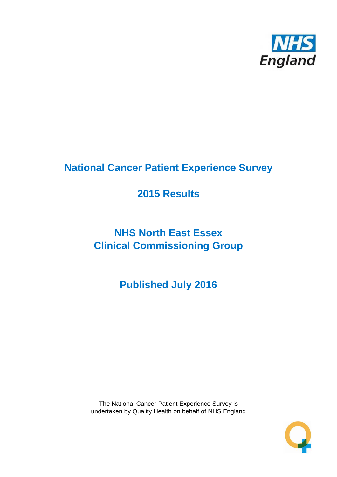

# **National Cancer Patient Experience Survey**

# **2015 Results**

# **NHS North East Essex Clinical Commissioning Group**

**Published July 2016**

The National Cancer Patient Experience Survey is undertaken by Quality Health on behalf of NHS England

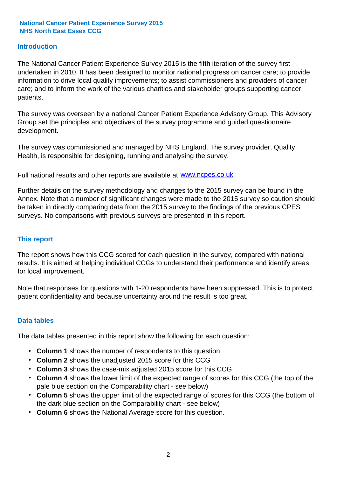### **Introduction**

The National Cancer Patient Experience Survey 2015 is the fifth iteration of the survey first undertaken in 2010. It has been designed to monitor national progress on cancer care; to provide information to drive local quality improvements; to assist commissioners and providers of cancer care; and to inform the work of the various charities and stakeholder groups supporting cancer patients.

The survey was overseen by a national Cancer Patient Experience Advisory Group. This Advisory Group set the principles and objectives of the survey programme and guided questionnaire development.

The survey was commissioned and managed by NHS England. The survey provider, Quality Health, is responsible for designing, running and analysing the survey.

Full national results and other reports are available at www.ncpes.co.uk

Further details on the survey methodology and changes to the 2015 survey can be found in the Annex. Note that a number of significant changes were made to the 2015 survey so caution should be taken in directly comparing data from the 2015 survey to the findings of the previous CPES surveys. No comparisons with previous surveys are presented in this report.

#### **This report**

The report shows how this CCG scored for each question in the survey, compared with national results. It is aimed at helping individual CCGs to understand their performance and identify areas for local improvement.

Note that responses for questions with 1-20 respondents have been suppressed. This is to protect patient confidentiality and because uncertainty around the result is too great.

#### **Data tables**

The data tables presented in this report show the following for each question:

- **Column 1** shows the number of respondents to this question
- **Column 2** shows the unadjusted 2015 score for this CCG
- **Column 3** shows the case-mix adjusted 2015 score for this CCG
- **Column 4** shows the lower limit of the expected range of scores for this CCG (the top of the pale blue section on the Comparability chart - see below)
- **Column 5** shows the upper limit of the expected range of scores for this CCG (the bottom of the dark blue section on the Comparability chart - see below)
- **Column 6** shows the National Average score for this question.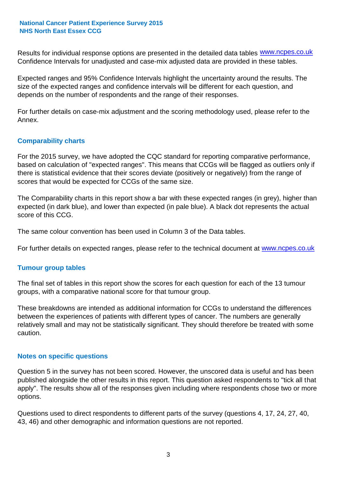Results for individual response options are presented in the detailed data tables **WWW.ncpes.co.uk** Confidence Intervals for unadjusted and case-mix adjusted data are provided in these tables.

Expected ranges and 95% Confidence Intervals highlight the uncertainty around the results. The size of the expected ranges and confidence intervals will be different for each question, and depends on the number of respondents and the range of their responses.

For further details on case-mix adjustment and the scoring methodology used, please refer to the Annex.

### **Comparability charts**

For the 2015 survey, we have adopted the CQC standard for reporting comparative performance, based on calculation of "expected ranges". This means that CCGs will be flagged as outliers only if there is statistical evidence that their scores deviate (positively or negatively) from the range of scores that would be expected for CCGs of the same size.

The Comparability charts in this report show a bar with these expected ranges (in grey), higher than expected (in dark blue), and lower than expected (in pale blue). A black dot represents the actual score of this CCG.

The same colour convention has been used in Column 3 of the Data tables.

For further details on expected ranges, please refer to the technical document at **www.ncpes.co.uk** 

#### **Tumour group tables**

The final set of tables in this report show the scores for each question for each of the 13 tumour groups, with a comparative national score for that tumour group.

These breakdowns are intended as additional information for CCGs to understand the differences between the experiences of patients with different types of cancer. The numbers are generally relatively small and may not be statistically significant. They should therefore be treated with some caution.

#### **Notes on specific questions**

Question 5 in the survey has not been scored. However, the unscored data is useful and has been published alongside the other results in this report. This question asked respondents to "tick all that apply". The results show all of the responses given including where respondents chose two or more options.

Questions used to direct respondents to different parts of the survey (questions 4, 17, 24, 27, 40, 43, 46) and other demographic and information questions are not reported.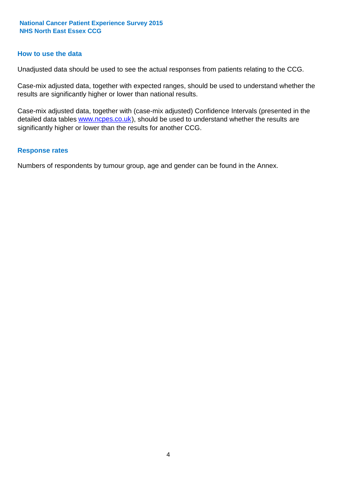#### **How to use the data**

Unadjusted data should be used to see the actual responses from patients relating to the CCG.

Case-mix adjusted data, together with expected ranges, should be used to understand whether the results are significantly higher or lower than national results.

Case-mix adjusted data, together with (case-mix adjusted) Confidence Intervals (presented in the detailed data tables **www.ncpes.co.uk**), should be used to understand whether the results are significantly higher or lower than the results for another CCG.

#### **Response rates**

Numbers of respondents by tumour group, age and gender can be found in the Annex.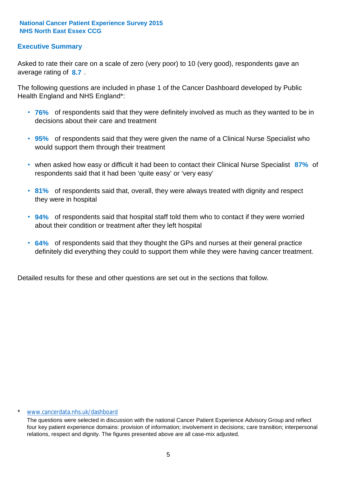### **Executive Summary**

average rating of 8.7. Asked to rate their care on a scale of zero (very poor) to 10 (very good), respondents gave an

The following questions are included in phase 1 of the Cancer Dashboard developed by Public Health England and NHS England\*:

- **76%** of respondents said that they were definitely involved as much as they wanted to be in decisions about their care and treatment
- **95%** of respondents said that they were given the name of a Clinical Nurse Specialist who would support them through their treatment
- when asked how easy or difficult it had been to contact their Clinical Nurse Specialist 87% of respondents said that it had been 'quite easy' or 'very easy'
- **81%** of respondents said that, overall, they were always treated with dignity and respect they were in hospital
- **94%** of respondents said that hospital staff told them who to contact if they were worried about their condition or treatment after they left hospital
- **64%** of respondents said that they thought the GPs and nurses at their general practice definitely did everything they could to support them while they were having cancer treatment.

Detailed results for these and other questions are set out in the sections that follow.

#### \* www.cancerdata.nhs.uk/dashboard

The questions were selected in discussion with the national Cancer Patient Experience Advisory Group and reflect four key patient experience domains: provision of information; involvement in decisions; care transition; interpersonal relations, respect and dignity. The figures presented above are all case-mix adjusted.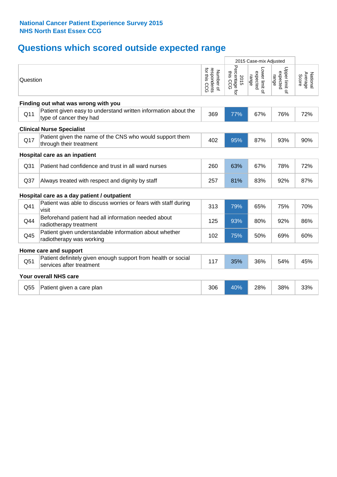# **Questions which scored outside expected range**

|                                  |                                                                                           |                                          |                                    | 2015 Case-mix Adjusted              |                                     |                              |  |  |  |
|----------------------------------|-------------------------------------------------------------------------------------------|------------------------------------------|------------------------------------|-------------------------------------|-------------------------------------|------------------------------|--|--|--|
| Question                         |                                                                                           | respondents<br>for this CCG<br>Number of | Percentage for<br>this CCG<br>2015 | Lower limit of<br>expected<br>range | Upper limit o'<br>expected<br>range | Average<br>National<br>Score |  |  |  |
|                                  | Finding out what was wrong with you                                                       |                                          |                                    |                                     |                                     |                              |  |  |  |
| Q11                              | Patient given easy to understand written information about the<br>type of cancer they had | 369                                      | 77%                                | 67%                                 | 76%                                 | 72%                          |  |  |  |
| <b>Clinical Nurse Specialist</b> |                                                                                           |                                          |                                    |                                     |                                     |                              |  |  |  |
| Q17                              | Patient given the name of the CNS who would support them<br>through their treatment       | 402                                      | 95%                                | 87%                                 | 93%                                 | 90%                          |  |  |  |
|                                  | Hospital care as an inpatient                                                             |                                          |                                    |                                     |                                     |                              |  |  |  |
| Q <sub>31</sub>                  | Patient had confidence and trust in all ward nurses                                       | 260                                      | 63%                                | 67%                                 | 78%                                 | 72%                          |  |  |  |
| Q <sub>37</sub>                  | Always treated with respect and dignity by staff                                          | 257                                      | 81%                                | 83%                                 | 92%                                 | 87%                          |  |  |  |
|                                  | Hospital care as a day patient / outpatient                                               |                                          |                                    |                                     |                                     |                              |  |  |  |
| Q41                              | Patient was able to discuss worries or fears with staff during<br>visit                   | 313                                      | 79%                                | 65%                                 | 75%                                 | 70%                          |  |  |  |
| Q44                              | Beforehand patient had all information needed about<br>radiotherapy treatment             | 125                                      | 93%                                | 80%                                 | 92%                                 | 86%                          |  |  |  |
| Q45                              | Patient given understandable information about whether<br>radiotherapy was working        | 102                                      | 75%                                | 50%                                 | 69%                                 | 60%                          |  |  |  |
|                                  | Home care and support                                                                     |                                          |                                    |                                     |                                     |                              |  |  |  |
| Q51                              | Patient definitely given enough support from health or social<br>services after treatment | 117                                      | 35%                                | 36%                                 | 54%                                 | 45%                          |  |  |  |
|                                  | Your overall NHS care                                                                     |                                          |                                    |                                     |                                     |                              |  |  |  |
| Q55                              | Patient given a care plan                                                                 | 306                                      | 40%                                | 28%                                 | 38%                                 | 33%                          |  |  |  |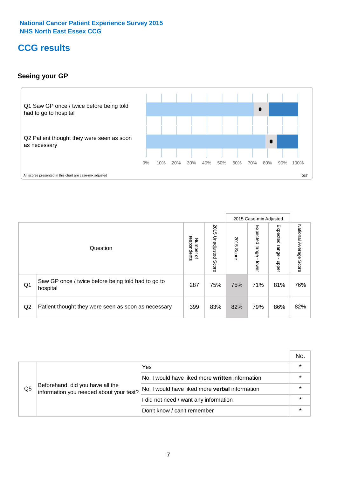# **CCG results**

### **Seeing your GP**



|    |                                                                |                                              |                             |               | 2015 Case-mix Adjusted     |                            |                           |
|----|----------------------------------------------------------------|----------------------------------------------|-----------------------------|---------------|----------------------------|----------------------------|---------------------------|
|    | Question                                                       | respondents<br>Number<br>$\overline{\sigma}$ | 2015<br>Unadjusted<br>Score | 2015<br>Score | Expected<br>range<br>lower | Expected<br>range<br>nbber | National Average<br>Score |
| Q1 | Saw GP once / twice before being told had to go to<br>hospital | 287                                          | 75%                         | 75%           | 71%                        | 81%                        | 76%                       |
| Q2 | Patient thought they were seen as soon as necessary            | 399                                          | 83%                         | 82%           | 79%                        | 86%                        | 82%                       |

|    |                                                                             |                                                 | No. |
|----|-----------------------------------------------------------------------------|-------------------------------------------------|-----|
|    |                                                                             | Yes                                             |     |
|    | Beforehand, did you have all the<br>information you needed about your test? | No, I would have liked more written information |     |
| Q5 |                                                                             | No, I would have liked more verbal information  |     |
|    |                                                                             | I did not need / want any information           |     |
|    |                                                                             | Don't know / can't remember                     |     |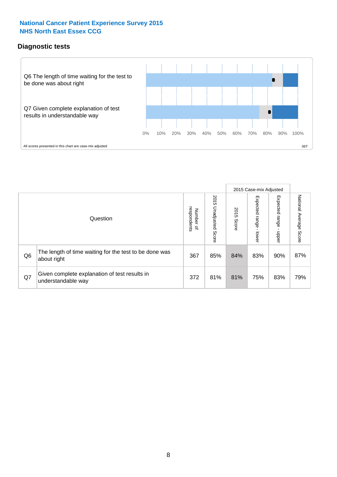### **Diagnostic tests**

![](_page_7_Figure_2.jpeg)

|                |                                                                       |                                    |                             |               | 2015 Case-mix Adjusted  |                         |                           |
|----------------|-----------------------------------------------------------------------|------------------------------------|-----------------------------|---------------|-------------------------|-------------------------|---------------------------|
|                | Question                                                              | Number of<br>respondents<br>Number | 2015<br>Unadjusted<br>Score | 2015<br>Score | Expected range<br>lower | Expected range<br>nbber | National Average<br>Score |
| Q <sub>6</sub> | The length of time waiting for the test to be done was<br>about right | 367                                | 85%                         | 84%           | 83%                     | 90%                     | 87%                       |
| Q7             | Given complete explanation of test results in<br>understandable way   | 372                                | 81%                         | 81%           | 75%                     | 83%                     | 79%                       |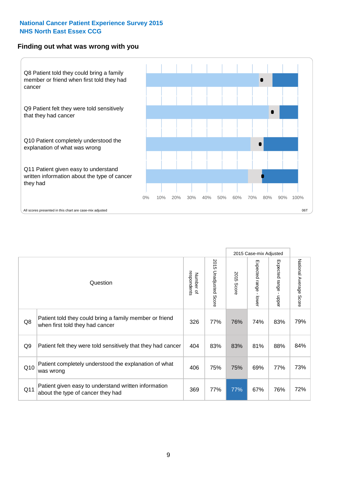#### **Finding out what was wrong with you**

![](_page_8_Figure_2.jpeg)

|                |                                                                                            |                          |                       |               | 2015 Case-mix Adjusted     |                                         |                        |
|----------------|--------------------------------------------------------------------------------------------|--------------------------|-----------------------|---------------|----------------------------|-----------------------------------------|------------------------|
|                | Question                                                                                   | respondents<br>Number of | 2015 Unadjusted Score | 2015<br>Score | Expected range -<br>-lower | Expected range<br>$\mathbf{I}$<br>nbber | National Average Score |
| Q8             | Patient told they could bring a family member or friend<br>when first told they had cancer | 326                      | 77%                   | 76%           | 74%                        | 83%                                     | 79%                    |
| Q <sub>9</sub> | Patient felt they were told sensitively that they had cancer                               | 404                      | 83%                   | 83%           | 81%                        | 88%                                     | 84%                    |
| Q10            | Patient completely understood the explanation of what<br>was wrong                         | 406                      | 75%                   | 75%           | 69%                        | 77%                                     | 73%                    |
| Q11            | Patient given easy to understand written information<br>about the type of cancer they had  | 369                      | 77%                   | 77%           | 67%                        | 76%                                     | 72%                    |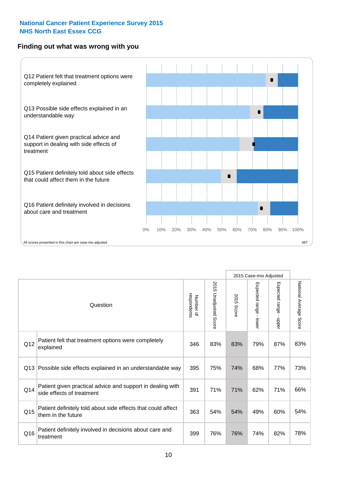### **Finding out what was wrong with you**

![](_page_9_Figure_2.jpeg)

|     |                                                                                         |                          |                                 |               | 2015 Case-mix Adjusted                  |                           |                        |
|-----|-----------------------------------------------------------------------------------------|--------------------------|---------------------------------|---------------|-----------------------------------------|---------------------------|------------------------|
|     | Question                                                                                | respondents<br>Number of | 2015<br><b>Unadjusted Score</b> | 2015<br>Score | Expected range<br>$\mathbf{r}$<br>lower | Expected range -<br>nbber | National Average Score |
| Q12 | Patient felt that treatment options were completely<br>explained                        | 346                      | 83%                             | 83%           | 79%                                     | 87%                       | 83%                    |
| Q13 | Possible side effects explained in an understandable way                                | 395                      | 75%                             | 74%           | 68%                                     | 77%                       | 73%                    |
| Q14 | Patient given practical advice and support in dealing with<br>side effects of treatment | 391                      | 71%                             | 71%           | 62%                                     | 71%                       | 66%                    |
| Q15 | Patient definitely told about side effects that could affect<br>them in the future      | 363                      | 54%                             | 54%           | 49%                                     | 60%                       | 54%                    |
| Q16 | Patient definitely involved in decisions about care and<br>treatment                    | 399                      | 76%                             | 76%           | 74%                                     | 82%                       | 78%                    |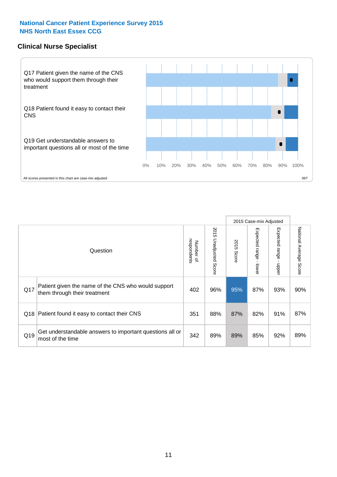#### **Clinical Nurse Specialist**

![](_page_10_Figure_2.jpeg)

|     |                                                                                     |                          |                       |               | 2015 Case-mix Adjusted  |                         |                        |
|-----|-------------------------------------------------------------------------------------|--------------------------|-----------------------|---------------|-------------------------|-------------------------|------------------------|
|     | Question                                                                            | respondents<br>Number of | 2015 Unadjusted Score | 2015<br>Score | Expected range<br>lower | Expected range<br>nbber | National Average Score |
| Q17 | Patient given the name of the CNS who would support<br>them through their treatment | 402                      | 96%                   | 95%           | 87%                     | 93%                     | 90%                    |
|     | Q18 Patient found it easy to contact their CNS                                      | 351                      | 88%                   | 87%           | 82%                     | 91%                     | 87%                    |
| Q19 | Get understandable answers to important questions all or<br>most of the time        | 342                      | 89%                   | 89%           | 85%                     | 92%                     | 89%                    |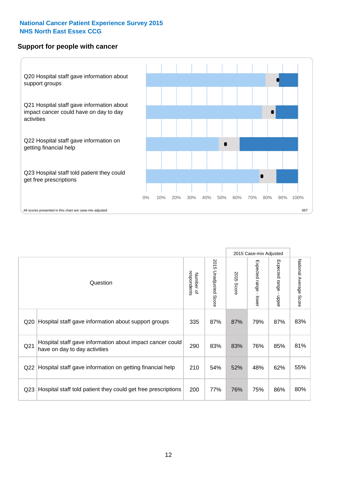#### **Support for people with cancer**

![](_page_11_Figure_2.jpeg)

2015 Case-mix Adjusted National Average Score 2015 Unadjusted Score Expected range - lower Expected range - upper National Average Score 2015 Unadjusted Score Expected range - upper Expected range - lower Number of<br>respondents respondents 2015 Score 2015 Score Number of Question Q20 Hospital staff gave information about support groups  $\left| \begin{array}{c|c} 335 & 87\% & 87\% & 79\% & 87\% \end{array} \right|$ Q21 290 83% 83% 76% 85% Hospital staff gave information about impact cancer could have on day to day activities but about impact cancer could [290 | 83% | 83% | 76% | 85% | 81% | 81% Q22 Hospital staff gave information on getting financial help  $\left| 210 \right| 54\%$  52%  $\left| 48\% \right| 62\%$  55% Q23 Rospital staff told patient they could get free prescriptions 200 77% 76% 75% 86% 80%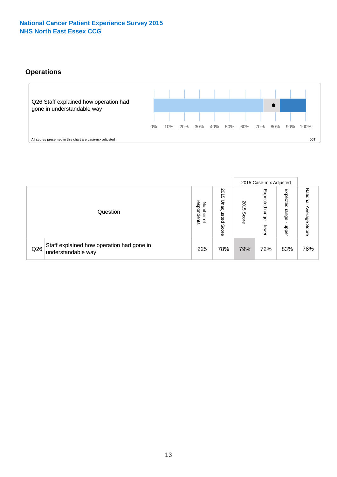# **Operations**

![](_page_12_Figure_2.jpeg)

|     |                                                                 |                                             |                             |                   | 2015 Case-mix Adjusted     |                            |                              |
|-----|-----------------------------------------------------------------|---------------------------------------------|-----------------------------|-------------------|----------------------------|----------------------------|------------------------------|
|     | Question                                                        | respondents<br>Numbe<br>≞<br>$\overline{a}$ | 2015<br>Unadjusted<br>Score | 201<br>c<br>Score | Expected<br>range<br>lower | Expected<br>range<br>doper | National<br>Average<br>Score |
| Q26 | Staff explained how operation had gone in<br>understandable way | 225                                         | 78%                         | 79%               | 72%                        | 83%                        | 78%                          |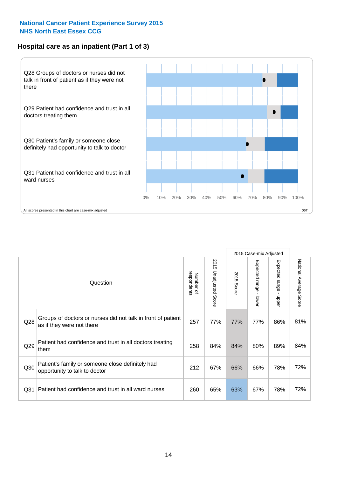### **Hospital care as an inpatient (Part 1 of 3)**

![](_page_13_Figure_2.jpeg)

All scores presented in this chart are case-mix adjusted  $06T$ 

|                 |                                                                                           |                          |                          |               | 2015 Case-mix Adjusted                  |                                           |                        |
|-----------------|-------------------------------------------------------------------------------------------|--------------------------|--------------------------|---------------|-----------------------------------------|-------------------------------------------|------------------------|
|                 | Question                                                                                  | respondents<br>Number of | 2015<br>Unadjusted Score | 2015<br>Score | Expected range<br>$\mathbf{r}$<br>lower | Expected range<br>$\blacksquare$<br>nbber | National Average Score |
| Q28             | Groups of doctors or nurses did not talk in front of patient<br>as if they were not there | 257                      | 77%                      | 77%           | 77%                                     | 86%                                       | 81%                    |
| Q29             | Patient had confidence and trust in all doctors treating<br>them                          | 258                      | 84%                      | 84%           | 80%                                     | 89%                                       | 84%                    |
| Q30             | Patient's family or someone close definitely had<br>opportunity to talk to doctor         | 212                      | 67%                      | 66%           | 66%                                     | 78%                                       | 72%                    |
| Q <sub>31</sub> | Patient had confidence and trust in all ward nurses                                       | 260                      | 65%                      | 63%           | 67%                                     | 78%                                       | 72%                    |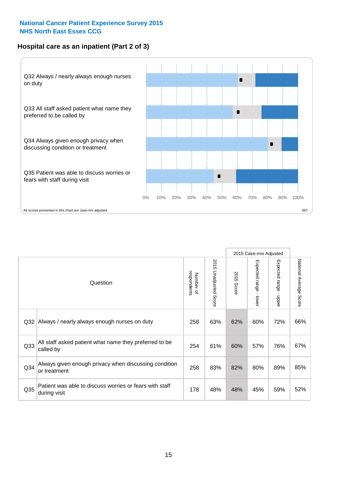### **Hospital care as an inpatient (Part 2 of 3)**

![](_page_14_Figure_2.jpeg)

|                 |                                                                         |                          |                          |               | 2015 Case-mix Adjusted |                           |                           |
|-----------------|-------------------------------------------------------------------------|--------------------------|--------------------------|---------------|------------------------|---------------------------|---------------------------|
|                 | Question                                                                | respondents<br>Number of | 2015 Unadjusted<br>Score | 2015<br>Score | Expected range - lower | Expected range -<br>nbber | National Average<br>Score |
| Q32             | Always / nearly always enough nurses on duty                            | 258                      | 63%                      | 62%           | 60%                    | 72%                       | 66%                       |
| Q <sub>33</sub> | All staff asked patient what name they preferred to be<br>called by     | 254                      | 61%                      | 60%           | 57%                    | 76%                       | 67%                       |
| Q <sub>34</sub> | Always given enough privacy when discussing condition<br>or treatment   | 258                      | 83%                      | 82%           | 80%                    | 89%                       | 85%                       |
| Q <sub>35</sub> | Patient was able to discuss worries or fears with staff<br>during visit | 178                      | 48%                      | 48%           | 45%                    | 59%                       | 52%                       |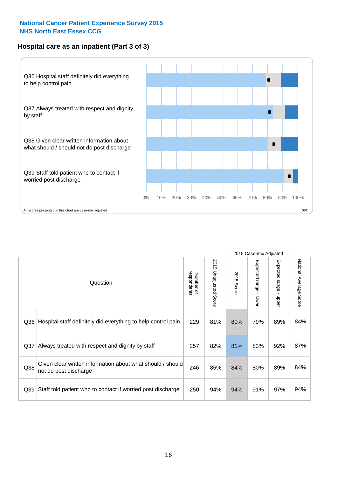### **Hospital care as an inpatient (Part 3 of 3)**

![](_page_15_Figure_2.jpeg)

|     |                                                                                     |                          |                                 |               | 2015 Case-mix Adjusted  |                                           |                        |
|-----|-------------------------------------------------------------------------------------|--------------------------|---------------------------------|---------------|-------------------------|-------------------------------------------|------------------------|
|     | Question                                                                            | respondents<br>Number of | 2015<br><b>Unadjusted Score</b> | 2015<br>Score | Expected range<br>lower | Expected range<br>$\blacksquare$<br>nbber | National Average Score |
| Q36 | Hospital staff definitely did everything to help control pain                       | 229                      | 81%                             | 80%           | 79%                     | 89%                                       | 84%                    |
| Q37 | Always treated with respect and dignity by staff                                    | 257                      | 82%                             | 81%           | 83%                     | 92%                                       | 87%                    |
| Q38 | Given clear written information about what should / should<br>not do post discharge | 246                      | 85%                             | 84%           | 80%                     | 89%                                       | 84%                    |
| Q39 | Staff told patient who to contact if worried post discharge                         | 250                      | 94%                             | 94%           | 91%                     | 97%                                       | 94%                    |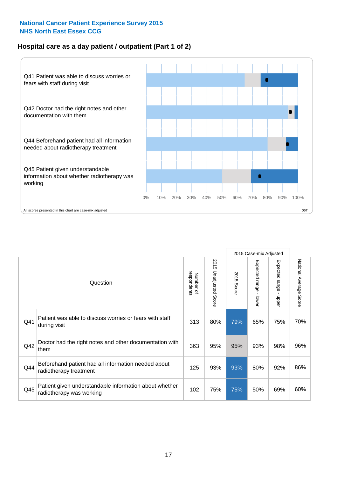### **Hospital care as a day patient / outpatient (Part 1 of 2)**

![](_page_16_Figure_2.jpeg)

|     |                                                                                    |                          |                                 |               | 2015 Case-mix Adjusted                    |                                           |                        |
|-----|------------------------------------------------------------------------------------|--------------------------|---------------------------------|---------------|-------------------------------------------|-------------------------------------------|------------------------|
|     | Question                                                                           | respondents<br>Number of | 2015<br><b>Unadjusted Score</b> | 2015<br>Score | Expected range<br>$\blacksquare$<br>lower | Expected range<br>$\blacksquare$<br>nbber | National Average Score |
| Q41 | Patient was able to discuss worries or fears with staff<br>during visit            | 313                      | 80%                             | 79%           | 65%                                       | 75%                                       | 70%                    |
| Q42 | Doctor had the right notes and other documentation with<br>them                    | 363                      | 95%                             | 95%           | 93%                                       | 98%                                       | 96%                    |
| Q44 | Beforehand patient had all information needed about<br>radiotherapy treatment      | 125                      | 93%                             | 93%           | 80%                                       | 92%                                       | 86%                    |
| Q45 | Patient given understandable information about whether<br>radiotherapy was working | 102                      | 75%                             | 75%           | 50%                                       | 69%                                       | 60%                    |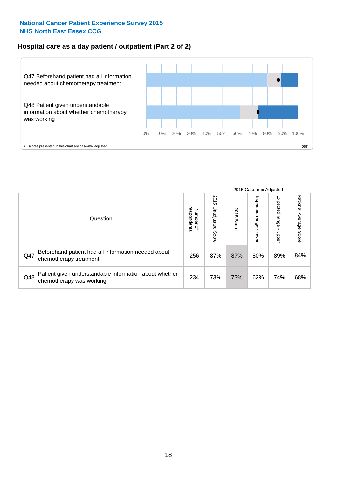### **Hospital care as a day patient / outpatient (Part 2 of 2)**

![](_page_17_Figure_2.jpeg)

|     |                                                                                    |                             |                             |               | 2015 Case-mix Adjusted            |                         |                           |
|-----|------------------------------------------------------------------------------------|-----------------------------|-----------------------------|---------------|-----------------------------------|-------------------------|---------------------------|
|     | Question                                                                           | respondents<br>Number<br>டி | 2015<br>Unadjusted<br>Score | 2015<br>Score | Expected<br><b>Lange</b><br>lower | Expected range<br>doper | National Average<br>Score |
| Q47 | Beforehand patient had all information needed about<br>chemotherapy treatment      | 256                         | 87%                         | 87%           | 80%                               | 89%                     | 84%                       |
| Q48 | Patient given understandable information about whether<br>chemotherapy was working | 234                         | 73%                         | 73%           | 62%                               | 74%                     | 68%                       |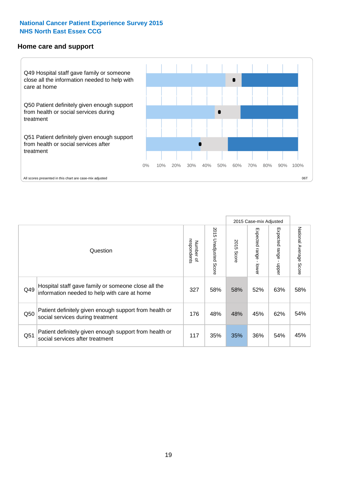#### **Home care and support**

![](_page_18_Figure_2.jpeg)

2015 Case-mix Adjusted 2015 Unadjusted Score Expected range - upper National Average Score 2015 Unadjusted Score Expected range - lower National Average Score Expected range - lower Expected range - upper Number of<br>respondents respondents 2015 Score 2015 Score Number of Question Hospital staff gave family or someone close all the  $Q49$  information needed to help with care at home  $327$  |  $58\%$  |  $58\%$  |  $52\%$  |  $63\%$  |  $58\%$ Patient definitely given enough support from health or Q50 social services during treatment 176 | 48% 48% 45% 45% 62% 54% Patient definitely given enough support from health or Q51 social services after treatment<br>
and the social services after treatment<br>
Q51 social services after treatment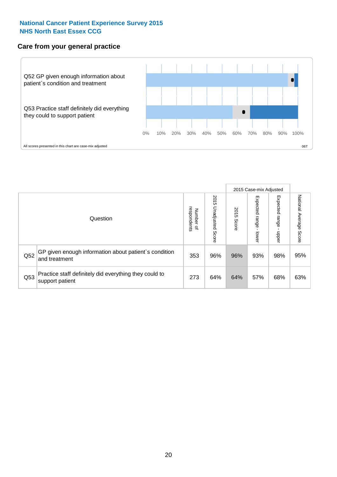#### **Care from your general practice**

![](_page_19_Figure_2.jpeg)

|     |                                                                           |                                       |                             |               | 2015 Case-mix Adjusted            |                            |                           |
|-----|---------------------------------------------------------------------------|---------------------------------------|-----------------------------|---------------|-----------------------------------|----------------------------|---------------------------|
|     | Question                                                                  | respondents<br>Number<br>$\mathbf{Q}$ | 2015<br>Unadjusted<br>Score | 2015<br>Score | Expected<br><b>Lange</b><br>lower | Expected<br>range<br>doper | National Average<br>Score |
| Q52 | GP given enough information about patient's condition<br>and treatment    | 353                                   | 96%                         | 96%           | 93%                               | 98%                        | 95%                       |
| Q53 | Practice staff definitely did everything they could to<br>support patient | 273                                   | 64%                         | 64%           | 57%                               | 68%                        | 63%                       |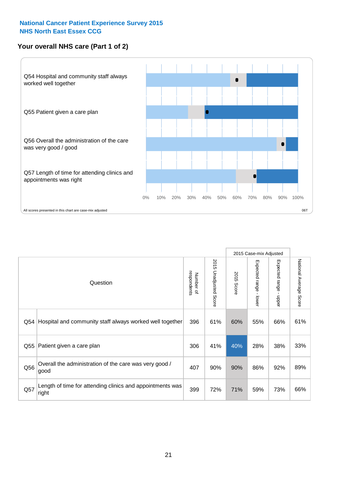### **Your overall NHS care (Part 1 of 2)**

![](_page_20_Figure_2.jpeg)

|     |                                                                    |                          |                          |               | 2015 Case-mix Adjusted                    |                                           |                        |
|-----|--------------------------------------------------------------------|--------------------------|--------------------------|---------------|-------------------------------------------|-------------------------------------------|------------------------|
|     | Question                                                           | respondents<br>Number of | 2015<br>Unadjusted Score | 2015<br>Score | Expected range<br>$\blacksquare$<br>lower | Expected range<br>$\blacksquare$<br>nbber | National Average Score |
| Q54 | Hospital and community staff always worked well together           | 396                      | 61%                      | 60%           | 55%                                       | 66%                                       | 61%                    |
| Q55 | Patient given a care plan                                          | 306                      | 41%                      | 40%           | 28%                                       | 38%                                       | 33%                    |
| Q56 | Overall the administration of the care was very good /<br>good     | 407                      | 90%                      | 90%           | 86%                                       | 92%                                       | 89%                    |
| Q57 | Length of time for attending clinics and appointments was<br>right | 399                      | 72%                      | 71%           | 59%                                       | 73%                                       | 66%                    |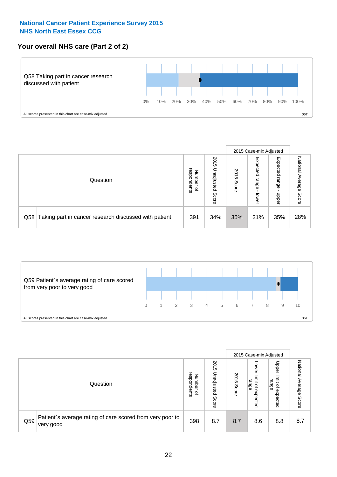### **Your overall NHS care (Part 2 of 2)**

![](_page_21_Figure_2.jpeg)

|     |                                                       |                                              |                             |               | 2015 Case-mix Adjusted     |                            |                        |
|-----|-------------------------------------------------------|----------------------------------------------|-----------------------------|---------------|----------------------------|----------------------------|------------------------|
|     | Question                                              | respondents<br>Number<br>$\overline{\sigma}$ | 2015<br>Inadjusted<br>Score | 2015<br>Score | Expected<br>range<br>lower | Expected<br>range<br>doper | National Average Score |
| Q58 | Taking part in cancer research discussed with patient | 391                                          | 34%                         | 35%           | 21%                        | 35%                        | 28%                    |

![](_page_21_Figure_4.jpeg)

|     |                                                                        |                                              |                             | 2015 Case-mix Adjusted<br>Upper<br>OWer<br>2015<br>limit<br>limit<br>range<br>range<br>õ<br>$\overline{\sigma}$ |          |          |                              |
|-----|------------------------------------------------------------------------|----------------------------------------------|-----------------------------|-----------------------------------------------------------------------------------------------------------------|----------|----------|------------------------------|
|     | Question                                                               | respondents<br>Number<br>$\overline{\sigma}$ | 2015<br>Inadjusted<br>Score | Score                                                                                                           | expected | expected | National<br>Average<br>Score |
| Q59 | Patient's average rating of care scored from very poor to<br>very good | 398                                          | 8.7                         | 8.7                                                                                                             | 8.6      | 8.8      | 8.7                          |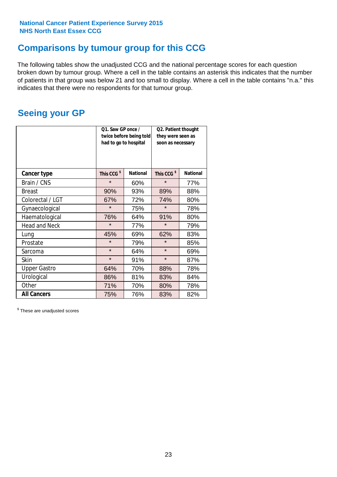# **Comparisons by tumour group for this CCG**

The following tables show the unadjusted CCG and the national percentage scores for each question broken down by tumour group. Where a cell in the table contains an asterisk this indicates that the number of patients in that group was below 21 and too small to display. Where a cell in the table contains "n.a." this indicates that there were no respondents for that tumour group.

# **Seeing your GP**

|                      | Q1. Saw GP once /<br>twice before being told<br>had to go to hospital<br><b>National</b> |     | Q2. Patient thought<br>they were seen as<br>soon as necessary |                 |  |
|----------------------|------------------------------------------------------------------------------------------|-----|---------------------------------------------------------------|-----------------|--|
| <b>Cancer type</b>   | This CCG <sup>\$</sup>                                                                   |     | This CCG <sup>\$</sup>                                        | <b>National</b> |  |
| Brain / CNS          | $\star$                                                                                  | 60% | $\star$                                                       | 77%             |  |
| <b>Breast</b>        | 90%                                                                                      | 93% | 89%                                                           | 88%             |  |
| Colorectal / LGT     | 67%                                                                                      | 72% | 74%                                                           | 80%             |  |
| Gynaecological       | $\star$                                                                                  | 75% | $\star$                                                       | 78%             |  |
| Haematological       | 76%                                                                                      | 64% | 91%                                                           | 80%             |  |
| <b>Head and Neck</b> | $\star$                                                                                  | 77% | $\star$                                                       | 79%             |  |
| Lung                 | 45%                                                                                      | 69% | 62%                                                           | 83%             |  |
| Prostate             | $\star$                                                                                  | 79% | $\star$                                                       | 85%             |  |
| Sarcoma              | $\star$                                                                                  | 64% | $\star$                                                       | 69%             |  |
| <b>Skin</b>          | $\star$                                                                                  | 91% | $\star$                                                       | 87%             |  |
| <b>Upper Gastro</b>  | 64%                                                                                      | 70% | 88%                                                           | 78%             |  |
| Urological           | 86%                                                                                      | 81% | 83%                                                           | 84%             |  |
| Other                | 71%                                                                                      | 70% | 80%                                                           | 78%             |  |
| <b>All Cancers</b>   | 75%                                                                                      | 76% | 83%                                                           | 82%             |  |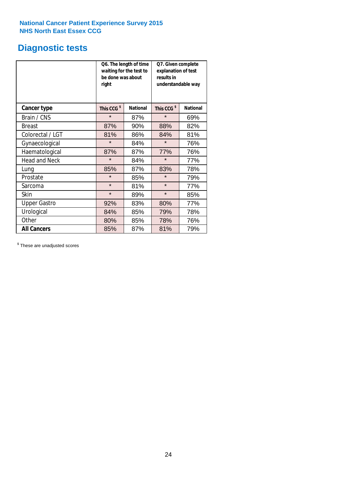# **Diagnostic tests**

|                      | be done was about<br>right | Q6. The length of time<br>waiting for the test to | Q7. Given complete<br>explanation of test<br>results in<br>understandable way |                 |  |
|----------------------|----------------------------|---------------------------------------------------|-------------------------------------------------------------------------------|-----------------|--|
| <b>Cancer type</b>   | This CCG <sup>\$</sup>     | <b>National</b>                                   | This CCG <sup>\$</sup>                                                        | <b>National</b> |  |
| Brain / CNS          | $\star$                    | 87%                                               | $\star$                                                                       | 69%             |  |
| <b>Breast</b>        | 87%                        | 90%                                               | 88%                                                                           | 82%             |  |
| Colorectal / LGT     | 81%                        | 86%                                               | 84%                                                                           | 81%             |  |
| Gynaecological       | $\star$                    | 84%                                               | $\star$                                                                       | 76%             |  |
| Haematological       | 87%                        | 87%                                               | 77%                                                                           | 76%             |  |
| <b>Head and Neck</b> | $\star$                    | 84%                                               | $\star$                                                                       | 77%             |  |
| Lung                 | 85%                        | 87%                                               | 83%                                                                           | 78%             |  |
| Prostate             | $\star$                    | 85%                                               | $\star$                                                                       | 79%             |  |
| Sarcoma              | $\star$                    | 81%                                               | $\star$                                                                       | 77%             |  |
| Skin                 | $\star$                    | 89%                                               | $\star$                                                                       | 85%             |  |
| <b>Upper Gastro</b>  | 92%                        | 83%                                               | 80%                                                                           | 77%             |  |
| Urological           | 84%                        | 85%                                               | 79%                                                                           | 78%             |  |
| Other                | 80%                        | 85%                                               | 78%                                                                           | 76%             |  |
| <b>All Cancers</b>   | 85%                        | 87%                                               | 81%                                                                           | 79%             |  |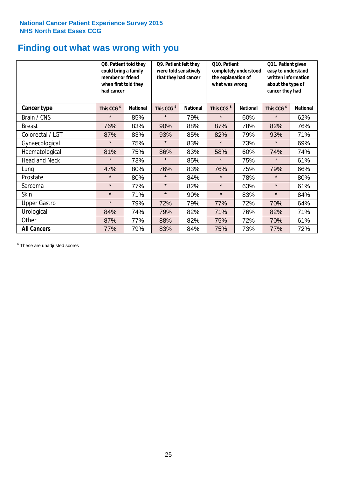# **Finding out what was wrong with you**

|                      | Q8. Patient told they<br>could bring a family<br>member or friend<br>when first told they<br>had cancer |                 | Q9. Patient felt they<br>were told sensitively<br>that they had cancer |                 | Q10. Patient<br>completely understood<br>the explanation of<br>what was wrong |                 | Q11. Patient given<br>easy to understand<br>written information<br>about the type of<br>cancer they had |                 |
|----------------------|---------------------------------------------------------------------------------------------------------|-----------------|------------------------------------------------------------------------|-----------------|-------------------------------------------------------------------------------|-----------------|---------------------------------------------------------------------------------------------------------|-----------------|
| Cancer type          | This CCG <sup>\$</sup>                                                                                  | <b>National</b> | This CCG <sup>\$</sup>                                                 | <b>National</b> | This CCG <sup>\$</sup>                                                        | <b>National</b> | This CCG <sup>\$</sup>                                                                                  | <b>National</b> |
| Brain / CNS          | $\star$                                                                                                 | 85%             | $\star$                                                                | 79%             | $\star$                                                                       | 60%             | $\star$                                                                                                 | 62%             |
| <b>Breast</b>        | 76%                                                                                                     | 83%             | 90%                                                                    | 88%             | 87%                                                                           | 78%             | 82%                                                                                                     | 76%             |
| Colorectal / LGT     | 87%                                                                                                     | 83%             | 93%                                                                    | 85%             | 82%                                                                           | 79%             | 93%                                                                                                     | 71%             |
| Gynaecological       | $\star$                                                                                                 | 75%             | $\star$                                                                | 83%             | $\star$                                                                       | 73%             | $\star$                                                                                                 | 69%             |
| Haematological       | 81%                                                                                                     | 75%             | 86%                                                                    | 83%             | 58%                                                                           | 60%             | 74%                                                                                                     | 74%             |
| <b>Head and Neck</b> | $\star$                                                                                                 | 73%             | $\star$                                                                | 85%             | $\star$                                                                       | 75%             | $\star$                                                                                                 | 61%             |
| Lung                 | 47%                                                                                                     | 80%             | 76%                                                                    | 83%             | 76%                                                                           | 75%             | 79%                                                                                                     | 66%             |
| Prostate             | $\star$                                                                                                 | 80%             | $\star$                                                                | 84%             | $\star$                                                                       | 78%             | $\star$                                                                                                 | 80%             |
| Sarcoma              | $\star$                                                                                                 | 77%             | $\star$                                                                | 82%             | $\star$                                                                       | 63%             | $\star$                                                                                                 | 61%             |
| Skin                 | $\star$                                                                                                 | 71%             | $\star$                                                                | 90%             | $\star$                                                                       | 83%             | $\star$                                                                                                 | 84%             |
| <b>Upper Gastro</b>  | $\star$                                                                                                 | 79%             | 72%                                                                    | 79%             | 77%                                                                           | 72%             | 70%                                                                                                     | 64%             |
| Urological           | 84%                                                                                                     | 74%             | 79%                                                                    | 82%             | 71%                                                                           | 76%             | 82%                                                                                                     | 71%             |
| Other                | 87%                                                                                                     | 77%             | 88%                                                                    | 82%             | 75%                                                                           | 72%             | 70%                                                                                                     | 61%             |
| <b>All Cancers</b>   | 77%                                                                                                     | 79%             | 83%                                                                    | 84%             | 75%                                                                           | 73%             | 77%                                                                                                     | 72%             |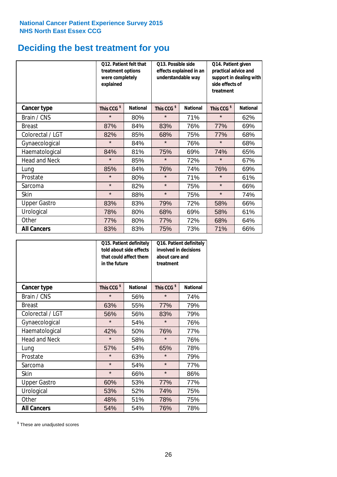# **Deciding the best treatment for you**

|                      | were completely<br>explained | O13. Possible side<br><b>O12. Patient felt that</b><br>treatment options<br>effects explained in an<br>understandable way |                        |                 | Q14. Patient given<br>practical advice and<br>support in dealing with<br>side effects of<br>treatment |                 |  |
|----------------------|------------------------------|---------------------------------------------------------------------------------------------------------------------------|------------------------|-----------------|-------------------------------------------------------------------------------------------------------|-----------------|--|
| <b>Cancer type</b>   | This CCG <sup>\$</sup>       | <b>National</b>                                                                                                           | This CCG <sup>\$</sup> | <b>National</b> | This CCG <sup>\$</sup>                                                                                | <b>National</b> |  |
| Brain / CNS          | $\star$                      | 80%                                                                                                                       | $\star$                | 71%             | $\star$                                                                                               | 62%             |  |
| <b>Breast</b>        | 87%                          | 84%                                                                                                                       | 83%                    | 76%             | 77%                                                                                                   | 69%             |  |
| Colorectal / LGT     | 82%                          | 85%                                                                                                                       | 68%                    | 75%             | 77%                                                                                                   | 68%             |  |
| Gynaecological       | $\star$                      | 84%                                                                                                                       | $\star$                | 76%             | $\star$                                                                                               | 68%             |  |
| Haematological       | 84%                          | 81%                                                                                                                       | 75%                    | 69%             | 74%                                                                                                   | 65%             |  |
| <b>Head and Neck</b> | $\star$                      | 85%                                                                                                                       | $\star$                | 72%             | $\star$                                                                                               | 67%             |  |
| Lung                 | 85%                          | 84%                                                                                                                       | 76%                    | 74%             | 76%                                                                                                   | 69%             |  |
| Prostate             | $\star$                      | 80%                                                                                                                       | $\star$                | 71%             | $\star$                                                                                               | 61%             |  |
| Sarcoma              | $\star$                      | 82%                                                                                                                       | $\star$                | 75%             | $\star$                                                                                               | 66%             |  |
| Skin                 | $\star$                      | 88%                                                                                                                       | $\star$                | 75%             | $\star$                                                                                               | 74%             |  |
| <b>Upper Gastro</b>  | 83%                          | 83%                                                                                                                       | 79%                    | 72%             | 58%                                                                                                   | 66%             |  |
| Urological           | 78%                          | 80%                                                                                                                       | 68%                    | 69%             | 58%                                                                                                   | 61%             |  |
| Other                | 77%                          | 80%                                                                                                                       | 77%                    | 72%             | 68%                                                                                                   | 64%             |  |
| <b>All Cancers</b>   | 83%                          | 83%                                                                                                                       | 75%                    | 73%             | 71%                                                                                                   | 66%             |  |

|                      | in the future          | Q15. Patient definitely<br>told about side effects<br>that could affect them | involved in decisions<br>about care and<br>treatment | Q16. Patient definitely |  |
|----------------------|------------------------|------------------------------------------------------------------------------|------------------------------------------------------|-------------------------|--|
| <b>Cancer type</b>   | This CCG <sup>\$</sup> | <b>National</b>                                                              | This CCG <sup>\$</sup>                               | <b>National</b>         |  |
| Brain / CNS          | $\star$                | 56%                                                                          | $\star$                                              | 74%                     |  |
| <b>Breast</b>        | 63%                    | 55%                                                                          | 77%                                                  | 79%                     |  |
| Colorectal / LGT     | 56%                    | 56%                                                                          | 83%                                                  | 79%                     |  |
| Gynaecological       | $\star$                | 54%                                                                          |                                                      | 76%                     |  |
| Haematological       | 42%<br>50%             |                                                                              | 76%                                                  | 77%                     |  |
| <b>Head and Neck</b> | $\star$                | 58%                                                                          | $\star$                                              | 76%                     |  |
| Lung                 | 57%                    | 54%                                                                          | 65%                                                  | 78%                     |  |
| Prostate             | $\star$                | 63%                                                                          | $\star$                                              | 79%                     |  |
| Sarcoma              | $\star$                | 54%                                                                          | $\star$                                              | 77%                     |  |
| Skin                 | $\star$                | 66%                                                                          | $\star$                                              | 86%                     |  |
| <b>Upper Gastro</b>  | 60%                    | 53%                                                                          | 77%                                                  | 77%                     |  |
| Urological           | 53%                    | 52%                                                                          | 74%                                                  | 75%                     |  |
| Other                | 48%                    | 51%                                                                          | 78%                                                  | 75%                     |  |
| <b>All Cancers</b>   | 54%                    | 54%                                                                          | 76%                                                  | 78%                     |  |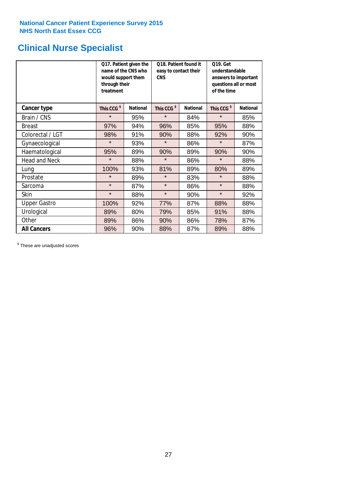# **Clinical Nurse Specialist**

|                      | would support them<br>through their<br>treatment | Q17. Patient given the<br>name of the CNS who | Q18. Patient found it<br>easy to contact their<br><b>CNS</b> |                 | <b>Q19. Get</b><br>understandable<br>answers to important<br>questions all or most<br>of the time |                 |  |
|----------------------|--------------------------------------------------|-----------------------------------------------|--------------------------------------------------------------|-----------------|---------------------------------------------------------------------------------------------------|-----------------|--|
| <b>Cancer type</b>   | This CCG <sup>\$</sup>                           | <b>National</b>                               | This CCG <sup>\$</sup>                                       | <b>National</b> | This CCG <sup>\$</sup>                                                                            | <b>National</b> |  |
| Brain / CNS          | $\star$                                          | 95%                                           | $\star$                                                      | 84%             | $\star$                                                                                           | 85%             |  |
| <b>Breast</b>        | 97%                                              | 94%                                           | 96%                                                          | 85%             | 95%                                                                                               | 88%             |  |
| Colorectal / LGT     | 98%                                              | 91%                                           | 90%                                                          | 88%             | 92%                                                                                               | 90%             |  |
| Gynaecological       | $\star$                                          | 93%                                           | $\star$                                                      | 86%             | $\star$                                                                                           | 87%             |  |
| Haematological       | 95%                                              | 89%                                           | 90%                                                          | 89%             | 90%                                                                                               | 90%             |  |
| <b>Head and Neck</b> | $\star$                                          | 88%                                           | $\star$                                                      | 86%             | $\star$                                                                                           | 88%             |  |
| Lung                 | 100%                                             | 93%                                           | 81%                                                          | 89%             | 80%                                                                                               | 89%             |  |
| Prostate             | $\star$                                          | 89%                                           | $\star$                                                      | 83%             | $\star$                                                                                           | 88%             |  |
| Sarcoma              | $\star$                                          | 87%                                           | $\star$                                                      | 86%             | $\star$                                                                                           | 88%             |  |
| Skin                 | $\star$                                          | 88%                                           | $\star$                                                      | 90%             | $\star$                                                                                           | 92%             |  |
| <b>Upper Gastro</b>  | 100%                                             | 92%                                           | 77%                                                          | 87%             | 88%                                                                                               | 88%             |  |
| Urological           | 89%                                              | 80%                                           | 79%                                                          | 85%             | 91%                                                                                               | 88%             |  |
| Other                | 89%                                              | 86%                                           | 90%                                                          | 86%             | 78%                                                                                               | 87%             |  |
| <b>All Cancers</b>   | 96%                                              | 90%                                           | 88%                                                          | 87%             | 89%                                                                                               | 88%             |  |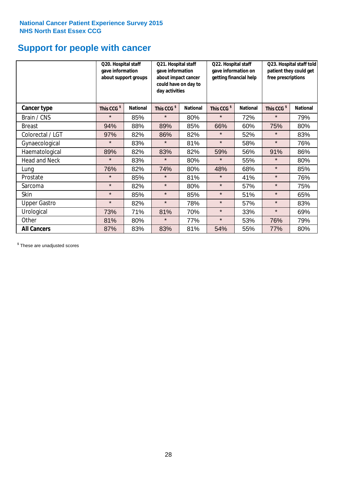# **Support for people with cancer**

|                      | Q20. Hospital staff<br>gave information | about support groups | Q21. Hospital staff<br>gave information<br>about impact cancer<br>could have on day to<br>day activities |                 | Q22. Hospital staff<br>gave information on<br>getting financial help |                 | Q23. Hospital staff told<br>patient they could get<br>free prescriptions |                 |
|----------------------|-----------------------------------------|----------------------|----------------------------------------------------------------------------------------------------------|-----------------|----------------------------------------------------------------------|-----------------|--------------------------------------------------------------------------|-----------------|
| Cancer type          | This CCG <sup>\$</sup>                  | <b>National</b>      | This CCG <sup>\$</sup>                                                                                   | <b>National</b> | This CCG <sup>\$</sup>                                               | <b>National</b> | This CCG <sup>\$</sup>                                                   | <b>National</b> |
| Brain / CNS          | $\star$                                 | 85%                  | $\star$                                                                                                  | 80%             | $\star$                                                              | 72%             | $\star$                                                                  | 79%             |
| <b>Breast</b>        | 94%                                     | 88%                  | 89%                                                                                                      | 85%             | 66%                                                                  | 60%             | 75%                                                                      | 80%             |
| Colorectal / LGT     | 97%                                     | 82%                  | 86%                                                                                                      | 82%             | $\star$                                                              | 52%             | $\star$                                                                  | 83%             |
| Gynaecological       | $\star$                                 | 83%                  | $\star$                                                                                                  | 81%             | $\star$                                                              | 58%             | $\star$                                                                  | 76%             |
| Haematological       | 89%                                     | 82%                  | 83%                                                                                                      | 82%             | 59%                                                                  | 56%             | 91%                                                                      | 86%             |
| <b>Head and Neck</b> | $\star$                                 | 83%                  | $\star$                                                                                                  | 80%             | $\star$                                                              | 55%             | $\star$                                                                  | 80%             |
| Lung                 | 76%                                     | 82%                  | 74%                                                                                                      | 80%             | 48%                                                                  | 68%             | $\star$                                                                  | 85%             |
| Prostate             | $\star$                                 | 85%                  | $\star$                                                                                                  | 81%             | $\star$                                                              | 41%             | $\star$                                                                  | 76%             |
| Sarcoma              | $\star$                                 | 82%                  | $\star$                                                                                                  | 80%             | $\star$                                                              | 57%             | $\star$                                                                  | 75%             |
| Skin                 | $\star$                                 | 85%                  | $\star$                                                                                                  | 85%             | $\star$                                                              | 51%             | $\star$                                                                  | 65%             |
| <b>Upper Gastro</b>  | $\star$                                 | 82%                  | $\star$                                                                                                  | 78%             | $\star$                                                              | 57%             | $\star$                                                                  | 83%             |
| Urological           | 73%                                     | 71%                  | 81%                                                                                                      | 70%             | $\star$                                                              | 33%             | $\star$                                                                  | 69%             |
| Other                | 81%                                     | 80%                  | $\star$                                                                                                  | 77%             | $\star$                                                              | 53%             | 76%                                                                      | 79%             |
| <b>All Cancers</b>   | 87%                                     | 83%                  | 83%                                                                                                      | 81%             | 54%                                                                  | 55%             | 77%                                                                      | 80%             |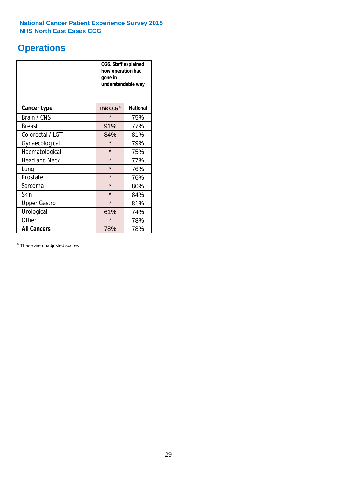# **Operations**

|                      | Q26. Staff explained<br>how operation had<br>gone in<br>understandable way |                 |  |  |
|----------------------|----------------------------------------------------------------------------|-----------------|--|--|
| <b>Cancer type</b>   | This CCG <sup>\$</sup>                                                     | <b>National</b> |  |  |
| Brain / CNS          | $\star$                                                                    | 75%             |  |  |
| <b>Breast</b>        | 91%                                                                        | 77%             |  |  |
| Colorectal / LGT     | 84%                                                                        | 81%             |  |  |
| Gynaecological       | $\star$                                                                    | 79%             |  |  |
| Haematological       | $\star$<br>75%                                                             |                 |  |  |
| <b>Head and Neck</b> | $\star$                                                                    | 77%             |  |  |
| Lung                 | $\star$                                                                    | 76%             |  |  |
| Prostate             | $\star$                                                                    | 76%             |  |  |
| Sarcoma              | $\star$                                                                    | 80%             |  |  |
| Skin                 | $\star$                                                                    | 84%             |  |  |
| <b>Upper Gastro</b>  | $\star$                                                                    | 81%             |  |  |
| Urological           | 61%                                                                        | 74%             |  |  |
| Other                | $\star$<br>78%                                                             |                 |  |  |
| <b>All Cancers</b>   | 78%<br>78%                                                                 |                 |  |  |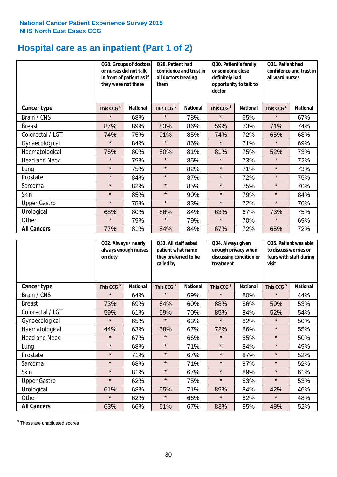# **Hospital care as an inpatient (Part 1 of 2)**

|                      | Q28. Groups of doctors<br>or nurses did not talk<br>in front of patient as if<br>they were not there |                 | Q29. Patient had<br>confidence and trust in<br>all doctors treating<br>them |                 | Q30. Patient's family<br>or someone close<br>definitely had<br>opportunity to talk to<br>doctor |                 | Q31. Patient had<br>confidence and trust in I<br>all ward nurses |                 |
|----------------------|------------------------------------------------------------------------------------------------------|-----------------|-----------------------------------------------------------------------------|-----------------|-------------------------------------------------------------------------------------------------|-----------------|------------------------------------------------------------------|-----------------|
| Cancer type          | This CCG <sup>\$</sup>                                                                               | <b>National</b> | This CCG <sup>\$</sup>                                                      | <b>National</b> | This CCG <sup>\$</sup>                                                                          | <b>National</b> | This CCG <sup>\$</sup>                                           | <b>National</b> |
| Brain / CNS          | $\star$                                                                                              | 68%             | $\star$                                                                     | 78%             | $\star$                                                                                         | 65%             | $\star$                                                          | 67%             |
| <b>Breast</b>        | 87%                                                                                                  | 89%             | 83%                                                                         | 86%             | 59%                                                                                             | 73%             | 71%                                                              | 74%             |
| Colorectal / LGT     | 74%                                                                                                  | 75%             | 91%                                                                         | 85%             | 74%                                                                                             | 72%             | 65%                                                              | 68%             |
| Gynaecological       | $\star$                                                                                              | 84%             | $\star$                                                                     | 86%             | $\star$                                                                                         | 71%             | $\star$                                                          | 69%             |
| Haematological       | 76%                                                                                                  | 80%             | 80%                                                                         | 81%             | 81%                                                                                             | 75%             | 52%                                                              | 73%             |
| <b>Head and Neck</b> | $\star$                                                                                              | 79%             | $\star$                                                                     | 85%             | $\star$                                                                                         | 73%             | $\star$                                                          | 72%             |
| Lung                 | $\star$                                                                                              | 75%             | $\star$                                                                     | 82%             | $\star$                                                                                         | 71%             | $\star$                                                          | 73%             |
| Prostate             | $\star$                                                                                              | 84%             | $\star$                                                                     | 87%             | $\star$                                                                                         | 72%             | $\star$                                                          | 75%             |
| Sarcoma              | $\star$                                                                                              | 82%             | $\star$                                                                     | 85%             | $\star$                                                                                         | 75%             | $\star$                                                          | 70%             |
| Skin                 | $\star$                                                                                              | 85%             | $\star$                                                                     | 90%             | $\star$                                                                                         | 79%             | $\star$                                                          | 84%             |
| <b>Upper Gastro</b>  | $\star$                                                                                              | 75%             | $\star$                                                                     | 83%             | $\star$                                                                                         | 72%             | $\star$                                                          | 70%             |
| Urological           | 68%                                                                                                  | 80%             | 86%                                                                         | 84%             | 63%                                                                                             | 67%             | 73%                                                              | 75%             |
| Other                | $\star$                                                                                              | 79%             | $\star$                                                                     | 79%             | $\star$                                                                                         | 70%             | $\star$                                                          | 69%             |
| <b>All Cancers</b>   | 77%                                                                                                  | 81%             | 84%                                                                         | 84%             | 67%                                                                                             | 72%             | 65%                                                              | 72%             |

|                      | Q32. Always / nearly<br>always enough nurses<br>on duty |                 | Q33. All staff asked<br>patient what name<br>they preferred to be<br>called by |                 | Q34. Always given<br>enough privacy when<br>discussing condition or<br>treatment |                 | Q35. Patient was able<br>to discuss worries or<br>fears with staff during<br>visit |                 |
|----------------------|---------------------------------------------------------|-----------------|--------------------------------------------------------------------------------|-----------------|----------------------------------------------------------------------------------|-----------------|------------------------------------------------------------------------------------|-----------------|
| <b>Cancer type</b>   | This CCG <sup>\$</sup>                                  | <b>National</b> | This CCG <sup>\$</sup>                                                         | <b>National</b> | This CCG <sup>\$</sup>                                                           | <b>National</b> | This CCG <sup>\$</sup>                                                             | <b>National</b> |
| Brain / CNS          | $\star$                                                 | 64%             | $\star$                                                                        | 69%             | $\star$                                                                          | 80%             | $\star$                                                                            | 44%             |
| <b>Breast</b>        | 73%                                                     | 69%             | 64%                                                                            | 60%             | 88%                                                                              | 86%             | 59%                                                                                | 53%             |
| Colorectal / LGT     | 59%                                                     | 61%             | 59%                                                                            | 70%             | 85%                                                                              | 84%             | 52%                                                                                | 54%             |
| Gynaecological       | $\star$                                                 | 65%             | $\star$                                                                        | 63%             | $\star$                                                                          | 82%             | $\star$                                                                            | 50%             |
| Haematological       | 44%                                                     | 63%             | 58%                                                                            | 67%             | 72%                                                                              | 86%             | $\star$                                                                            | 55%             |
| <b>Head and Neck</b> | $\star$                                                 | 67%             | $\star$                                                                        | 66%             | $\star$                                                                          | 85%             | $\star$                                                                            | 50%             |
| Lung                 | $\star$                                                 | 68%             | $\star$                                                                        | 71%             | $\star$                                                                          | 84%             | $\star$                                                                            | 49%             |
| Prostate             | $\star$                                                 | 71%             | $\star$                                                                        | 67%             | $\star$                                                                          | 87%             | $\star$                                                                            | 52%             |
| Sarcoma              | $\star$                                                 | 68%             | $\star$                                                                        | 71%             | $\star$                                                                          | 87%             | $\star$                                                                            | 52%             |
| Skin                 | $\star$                                                 | 81%             | $\star$                                                                        | 67%             | $\star$                                                                          | 89%             | $\star$                                                                            | 61%             |
| <b>Upper Gastro</b>  | $\star$                                                 | 62%             | $\star$                                                                        | 75%             | $\star$                                                                          | 83%             | $\star$                                                                            | 53%             |
| Urological           | 61%                                                     | 68%             | 55%                                                                            | 71%             | 89%                                                                              | 84%             | 42%                                                                                | 46%             |
| Other                | $\star$                                                 | 62%             | $\star$                                                                        | 66%             | $\star$                                                                          | 82%             | $\star$                                                                            | 48%             |
| <b>All Cancers</b>   | 63%                                                     | 66%             | 61%                                                                            | 67%             | 83%                                                                              | 85%             | 48%                                                                                | 52%             |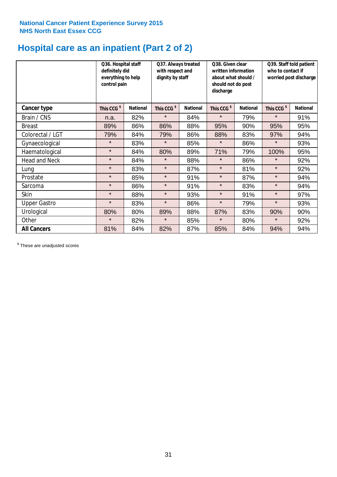# **Hospital care as an inpatient (Part 2 of 2)**

|                      | definitely did<br>control pain | Q36. Hospital staff<br>Q37. Always treated<br>with respect and<br>everything to help<br>dignity by staff |                        |                 | Q38. Given clear<br>written information<br>about what should /<br>should not do post<br>discharge |                 |                        | Q39. Staff told patient<br>who to contact if<br>worried post discharge |  |  |
|----------------------|--------------------------------|----------------------------------------------------------------------------------------------------------|------------------------|-----------------|---------------------------------------------------------------------------------------------------|-----------------|------------------------|------------------------------------------------------------------------|--|--|
| Cancer type          | This CCG <sup>\$</sup>         | <b>National</b>                                                                                          | This CCG <sup>\$</sup> | <b>National</b> | This CCG <sup>\$</sup>                                                                            | <b>National</b> | This CCG <sup>\$</sup> | <b>National</b>                                                        |  |  |
| Brain / CNS          | n.a.                           | 82%                                                                                                      | $\star$                | 84%             | $\star$                                                                                           | 79%             | $\star$                | 91%                                                                    |  |  |
| <b>Breast</b>        | 89%                            | 86%                                                                                                      | 86%                    | 88%             | 95%                                                                                               | 90%             | 95%                    | 95%                                                                    |  |  |
| Colorectal / LGT     | 79%                            | 84%                                                                                                      | 79%                    | 86%             | 88%                                                                                               | 83%             | 97%                    | 94%                                                                    |  |  |
| Gynaecological       | $\star$                        | 83%                                                                                                      | $\star$                | 85%             | $\star$                                                                                           | 86%             | $\star$                | 93%                                                                    |  |  |
| Haematological       | $\star$                        | 84%                                                                                                      | 80%                    | 89%             | 71%                                                                                               | 79%             | 100%                   | 95%                                                                    |  |  |
| <b>Head and Neck</b> | $\star$                        | 84%                                                                                                      | $\star$                | 88%             | $\star$                                                                                           | 86%             | $\star$                | 92%                                                                    |  |  |
| Lung                 | $\star$                        | 83%                                                                                                      | $\star$                | 87%             | $\star$                                                                                           | 81%             | $\star$                | 92%                                                                    |  |  |
| Prostate             | $\star$                        | 85%                                                                                                      | $\star$                | 91%             | $\star$                                                                                           | 87%             | $\star$                | 94%                                                                    |  |  |
| Sarcoma              | $\star$                        | 86%                                                                                                      | $\star$                | 91%             | $\star$                                                                                           | 83%             | $\star$                | 94%                                                                    |  |  |
| Skin                 | $\star$                        | 88%                                                                                                      | $\star$                | 93%             | $\star$                                                                                           | 91%             | $\star$                | 97%                                                                    |  |  |
| <b>Upper Gastro</b>  | $\star$                        | 83%                                                                                                      | $\star$                | 86%             | $\star$                                                                                           | 79%             | $\star$                | 93%                                                                    |  |  |
| Urological           | 80%                            | 80%                                                                                                      | 89%                    | 88%             | 87%                                                                                               | 83%             | 90%                    | 90%                                                                    |  |  |
| Other                | $\star$                        | 82%                                                                                                      | $\star$                | 85%             | $\star$                                                                                           | 80%             | $\star$                | 92%                                                                    |  |  |
| <b>All Cancers</b>   | 81%                            | 84%                                                                                                      | 82%                    | 87%             | 85%                                                                                               | 84%             | 94%                    | 94%                                                                    |  |  |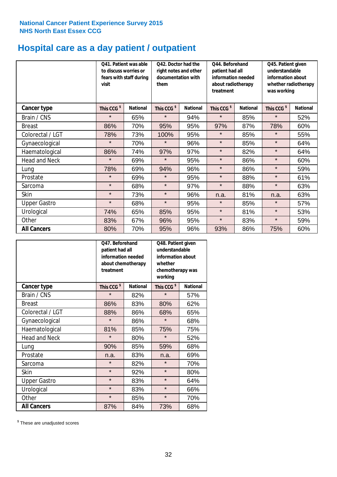# **Hospital care as a day patient / outpatient**

|                      | visit                  | Q41. Patient was able<br>Q42. Doctor had the<br>to discuss worries or<br>right notes and other<br>documentation with<br>fears with staff during<br>them |                        |                 | Q44. Beforehand<br>patient had all<br>information needed<br>about radiotherapy<br>treatment |                 | Q45. Patient given<br>understandable<br>information about<br>whether radiotherapy<br>was working |                 |  |
|----------------------|------------------------|---------------------------------------------------------------------------------------------------------------------------------------------------------|------------------------|-----------------|---------------------------------------------------------------------------------------------|-----------------|--------------------------------------------------------------------------------------------------|-----------------|--|
| <b>Cancer type</b>   | This CCG <sup>\$</sup> | <b>National</b>                                                                                                                                         | This CCG <sup>\$</sup> | <b>National</b> | This CCG <sup>\$</sup>                                                                      | <b>National</b> | This CCG <sup>\$</sup>                                                                           | <b>National</b> |  |
| Brain / CNS          | $\star$                | 65%                                                                                                                                                     | $\star$                | 94%             | $\star$                                                                                     | 85%             | $\star$                                                                                          | 52%             |  |
| <b>Breast</b>        | 86%                    | 70%                                                                                                                                                     | 95%                    | 95%             | 97%                                                                                         | 87%             | 78%                                                                                              | 60%             |  |
| Colorectal / LGT     | 78%                    | 73%                                                                                                                                                     | 100%                   | 95%             | $\star$                                                                                     | 85%             | $\star$                                                                                          | 55%             |  |
| Gynaecological       | $\star$                | 70%                                                                                                                                                     | $\star$                | 96%             | $\star$                                                                                     | 85%             | $\star$                                                                                          | 64%             |  |
| Haematological       | 86%                    | 74%                                                                                                                                                     | 97%                    | 97%             | $\star$                                                                                     | 82%             | $\star$                                                                                          | 64%             |  |
| <b>Head and Neck</b> | $\star$                | 69%                                                                                                                                                     | $\star$                | 95%             | $\star$                                                                                     | 86%             | $\star$                                                                                          | 60%             |  |
| Lung                 | 78%                    | 69%                                                                                                                                                     | 94%                    | 96%             | $\star$                                                                                     | 86%             | $\star$                                                                                          | 59%             |  |
| Prostate             | $\star$                | 69%                                                                                                                                                     | $\star$                | 95%             | $\star$                                                                                     | 88%             | $\star$                                                                                          | 61%             |  |
| Sarcoma              | $\star$                | 68%                                                                                                                                                     | $\star$                | 97%             | $\star$                                                                                     | 88%             | $\star$                                                                                          | 63%             |  |
| Skin                 | $\star$                | 73%                                                                                                                                                     | $\star$                | 96%             | n.a.                                                                                        | 81%             | n.a.                                                                                             | 63%             |  |
| <b>Upper Gastro</b>  | $\star$                | 68%                                                                                                                                                     | $\star$                | 95%             | $\star$                                                                                     | 85%             | $\star$                                                                                          | 57%             |  |
| Urological           | 74%                    | 65%                                                                                                                                                     | 85%                    | 95%             | $\star$                                                                                     | 81%             | $\star$                                                                                          | 53%             |  |
| Other                | 83%                    | 67%                                                                                                                                                     | 96%                    | 95%             | $\star$                                                                                     | 83%             | $\star$                                                                                          | 59%             |  |
| <b>All Cancers</b>   | 80%                    | 70%                                                                                                                                                     | 95%                    | 96%             | 93%                                                                                         | 86%             | 75%                                                                                              | 60%             |  |

|                      | Q47. Beforehand<br>patient had all<br>information needed<br>whether<br>about chemotherapy<br>treatment<br>working |                 |                        | Q48. Patient given<br>understandable<br>information about<br>chemotherapy was |
|----------------------|-------------------------------------------------------------------------------------------------------------------|-----------------|------------------------|-------------------------------------------------------------------------------|
| <b>Cancer type</b>   | This CCG <sup>\$</sup>                                                                                            | <b>National</b> | This CCG <sup>\$</sup> | <b>National</b>                                                               |
| Brain / CNS          | $\star$                                                                                                           | 82%             | $\star$                | 57%                                                                           |
| <b>Breast</b>        | 86%                                                                                                               | 83%             | 80%                    | 62%                                                                           |
| Colorectal / LGT     | 88%                                                                                                               | 86%             | 68%                    | 65%                                                                           |
| Gynaecological       | $\star$                                                                                                           | 86%             | $\star$                | 68%                                                                           |
| Haematological       | 81%<br>85%                                                                                                        |                 | 75%                    | 75%                                                                           |
| <b>Head and Neck</b> | $\star$                                                                                                           | 80%             | $\star$                | 52%                                                                           |
| Lung                 | 90%                                                                                                               | 85%             | 59%                    | 68%                                                                           |
| Prostate             | n.a.                                                                                                              | 83%             | n.a.                   | 69%                                                                           |
| Sarcoma              | $\star$                                                                                                           | 82%             | $\star$                | 70%                                                                           |
| Skin                 | $\star$                                                                                                           | 92%             | $\star$                | 80%                                                                           |
| <b>Upper Gastro</b>  | $\star$                                                                                                           | 83%             | $\star$                | 64%                                                                           |
| Urological           | $\star$                                                                                                           | 83%             | $\star$                | 66%                                                                           |
| Other                | $\star$                                                                                                           | 85%             | $\star$                | 70%                                                                           |
| <b>All Cancers</b>   | 87%                                                                                                               | 84%             | 73%                    | 68%                                                                           |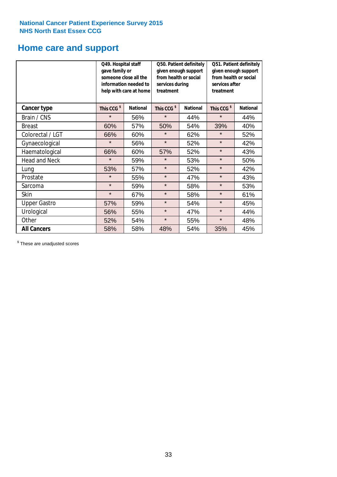# **Home care and support**

|                      | Q49. Hospital staff<br>gave family or<br>someone close all the<br>information needed to<br>help with care at home |                 | from health or social<br>services during<br>treatment | Q50. Patient definitely<br>given enough support | Q51. Patient definitely<br>given enough support<br>from health or social<br>services after<br>treatment |                 |  |
|----------------------|-------------------------------------------------------------------------------------------------------------------|-----------------|-------------------------------------------------------|-------------------------------------------------|---------------------------------------------------------------------------------------------------------|-----------------|--|
| <b>Cancer type</b>   | This CCG <sup>\$</sup>                                                                                            | <b>National</b> | This CCG <sup>\$</sup>                                | <b>National</b>                                 | This CCG <sup>\$</sup>                                                                                  | <b>National</b> |  |
| Brain / CNS          | $\star$                                                                                                           | 56%             | $\star$                                               | 44%                                             | $\star$                                                                                                 | 44%             |  |
| <b>Breast</b>        | 60%                                                                                                               | 57%             | 50%                                                   | 54%                                             | 39%                                                                                                     | 40%             |  |
| Colorectal / LGT     | 66%                                                                                                               | 60%             | $\star$                                               | 62%                                             | $\star$                                                                                                 | 52%             |  |
| Gynaecological       | $\star$                                                                                                           | 56%             | $\star$                                               | 52%                                             | $\star$                                                                                                 | 42%             |  |
| Haematological       | 66%                                                                                                               | 60%             | 57%                                                   | 52%                                             | $\star$                                                                                                 | 43%             |  |
| <b>Head and Neck</b> | $\star$                                                                                                           | 59%             | $\star$                                               | 53%                                             | $\star$                                                                                                 | 50%             |  |
| Lung                 | 53%                                                                                                               | 57%             | $\star$                                               | 52%                                             | $\star$                                                                                                 | 42%             |  |
| Prostate             | $\star$                                                                                                           | 55%             | $\star$                                               | 47%                                             | $\star$                                                                                                 | 43%             |  |
| Sarcoma              | $\star$                                                                                                           | 59%             | $\star$                                               | 58%                                             | $\star$                                                                                                 | 53%             |  |
| Skin                 | $\star$                                                                                                           | 67%             | $\star$                                               | 58%                                             | $\star$                                                                                                 | 61%             |  |
| <b>Upper Gastro</b>  | 57%                                                                                                               | 59%             | $\star$                                               | 54%                                             | $\star$                                                                                                 | 45%             |  |
| Urological           | 56%                                                                                                               | 55%             |                                                       | $\star$<br>47%                                  |                                                                                                         | 44%             |  |
| Other                | 52%                                                                                                               | 54%             | $\star$<br>55%                                        |                                                 | $\star$                                                                                                 | 48%             |  |
| <b>All Cancers</b>   | 58%                                                                                                               | 58%             | 48%                                                   | 54%                                             | 35%                                                                                                     | 45%             |  |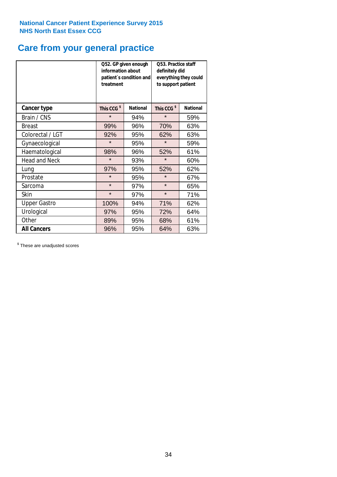# **Care from your general practice**

|                      | information about<br>treatment | Q52. GP given enough<br>patient's condition and | Q53. Practice staff<br>definitely did<br>everything they could<br>to support patient |                 |  |
|----------------------|--------------------------------|-------------------------------------------------|--------------------------------------------------------------------------------------|-----------------|--|
| <b>Cancer type</b>   | This CCG <sup>\$</sup>         | <b>National</b>                                 | This CCG <sup>\$</sup>                                                               | <b>National</b> |  |
| Brain / CNS          | $\star$                        | 94%                                             | $\star$                                                                              | 59%             |  |
| <b>Breast</b>        | 99%                            | 96%                                             | 70%                                                                                  | 63%             |  |
| Colorectal / LGT     | 92%                            | 95%                                             | 62%                                                                                  | 63%             |  |
| Gynaecological       | $\star$                        | 95%                                             | $\star$                                                                              | 59%             |  |
| Haematological       | 98%                            | 96%                                             | 52%                                                                                  | 61%             |  |
| <b>Head and Neck</b> | $\star$                        | 93%                                             | $\star$                                                                              | 60%             |  |
| Lung                 | 97%                            | 95%                                             | 52%                                                                                  | 62%             |  |
| Prostate             | $\star$                        | 95%                                             | $\star$                                                                              | 67%             |  |
| Sarcoma              | $\star$                        | 97%                                             | $\star$                                                                              | 65%             |  |
| <b>Skin</b>          | $\star$                        | 97%                                             | $\star$                                                                              | 71%             |  |
| <b>Upper Gastro</b>  | 100%                           | 94%                                             | 71%                                                                                  | 62%             |  |
| Urological           | 97%                            | 95%                                             | 72%                                                                                  | 64%             |  |
| Other                | 89%                            | 95%                                             | 68%                                                                                  | 61%             |  |
| <b>All Cancers</b>   | 96%                            | 95%                                             | 64%                                                                                  | 63%             |  |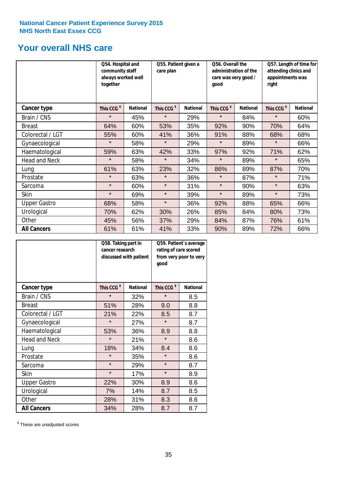# **Your overall NHS care**

|                      | Q54. Hospital and<br>community staff<br>always worked well<br>together |                 | Q55. Patient given a<br>care plan |                 | Q56. Overall the<br>administration of the<br>care was very good /<br>qood |                 | Q57. Length of time for<br>attending clinics and<br>appointments was<br>right |                 |
|----------------------|------------------------------------------------------------------------|-----------------|-----------------------------------|-----------------|---------------------------------------------------------------------------|-----------------|-------------------------------------------------------------------------------|-----------------|
| <b>Cancer type</b>   | This CCG <sup>\$</sup>                                                 | <b>National</b> | This CCG <sup>\$</sup>            | <b>National</b> | This CCG <sup>\$</sup>                                                    | <b>National</b> | This CCG <sup>\$</sup>                                                        | <b>National</b> |
| Brain / CNS          | $\star$                                                                | 45%             | $\star$                           | 29%             | $\star$                                                                   | 84%             | $\star$                                                                       | 60%             |
| <b>Breast</b>        | 64%                                                                    | 60%             | 53%                               | 35%             | 92%                                                                       | 90%             | 70%                                                                           | 64%             |
| Colorectal / LGT     | 55%                                                                    | 60%             | 41%                               | 36%             | 91%                                                                       | 88%             | 68%                                                                           | 68%             |
| Gynaecological       | $\star$                                                                | 58%             | $\star$                           | 29%             | $\star$                                                                   | 89%             | $\star$                                                                       | 66%             |
| Haematological       | 59%                                                                    | 63%             | 42%                               | 33%             | 97%                                                                       | 92%             | 71%                                                                           | 62%             |
| <b>Head and Neck</b> | $\star$                                                                | 58%             | $\star$                           | 34%             | $\star$                                                                   | 89%             | $\star$                                                                       | 65%             |
| Lung                 | 61%                                                                    | 63%             | 23%                               | 32%             | 86%                                                                       | 89%             | 87%                                                                           | 70%             |
| Prostate             | $\star$                                                                | 63%             | $\star$                           | 36%             | $\star$                                                                   | 87%             | $\star$                                                                       | 71%             |
| Sarcoma              | $\star$                                                                | 60%             | $\star$                           | 31%             | $\star$                                                                   | 90%             | $\star$                                                                       | 63%             |
| Skin                 | $\star$                                                                | 69%             | $\star$                           | 39%             | $\star$                                                                   | 89%             | $\star$                                                                       | 73%             |
| <b>Upper Gastro</b>  | 68%                                                                    | 58%             | $\star$                           | 36%             | 92%                                                                       | 88%             | 65%                                                                           | 66%             |
| Urological           | 70%                                                                    | 62%             | 30%                               | 26%             | 85%                                                                       | 84%             | 80%                                                                           | 73%             |
| Other                | 45%                                                                    | 56%             | 37%                               | 29%             | 84%                                                                       | 87%             | 76%                                                                           | 61%             |
| <b>All Cancers</b>   | 61%                                                                    | 61%             | 41%                               | 33%             | 90%                                                                       | 89%             | 72%                                                                           | 66%             |

|                      | Q58. Taking part in<br>cancer research | discussed with patient | Q59. Patient's average<br>rating of care scored<br>from very poor to very<br>good |                 |  |
|----------------------|----------------------------------------|------------------------|-----------------------------------------------------------------------------------|-----------------|--|
| <b>Cancer type</b>   | This CCG <sup>\$</sup>                 | <b>National</b>        | This CCG <sup>\$</sup>                                                            | <b>National</b> |  |
| Brain / CNS          | $\star$                                | 32%                    | $\star$                                                                           | 8.5             |  |
| <b>Breast</b>        | 51%                                    | 28%                    | 9.0                                                                               | 8.8             |  |
| Colorectal / LGT     | 21%                                    | 22%                    | 8.5                                                                               | 8.7             |  |
| Gynaecological       | $\star$                                | 27%                    | $\star$                                                                           | 8.7             |  |
| Haematological       | 53%                                    | 36%                    | 8.9                                                                               | 8.8             |  |
| <b>Head and Neck</b> | $\star$                                | 21%                    | $\star$                                                                           | 8.6             |  |
| Lung                 | 18%                                    | 34%                    | 8.4                                                                               | 8.6             |  |
| Prostate             | $\star$                                | 35%                    | $\star$                                                                           | 8.6             |  |
| Sarcoma              | $\star$                                | 29%                    | $\star$                                                                           | 8.7             |  |
| <b>Skin</b>          | $\star$                                | 17%                    | $\star$                                                                           | 8.9             |  |
| <b>Upper Gastro</b>  | 22%                                    | 30%                    | 8.9                                                                               | 8.6             |  |
| Urological           | 7%                                     | 14%                    | 8.7                                                                               | 8.5             |  |
| Other                | 28%                                    | 31%                    | 8.3                                                                               | 8.6             |  |
| <b>All Cancers</b>   | 34%                                    | 28%                    | 8.7                                                                               | 8.7             |  |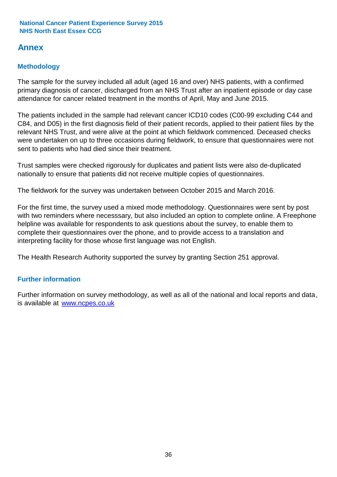# **Annex**

# **Methodology**

The sample for the survey included all adult (aged 16 and over) NHS patients, with a confirmed primary diagnosis of cancer, discharged from an NHS Trust after an inpatient episode or day case attendance for cancer related treatment in the months of April, May and June 2015.

The patients included in the sample had relevant cancer ICD10 codes (C00-99 excluding C44 and C84, and D05) in the first diagnosis field of their patient records, applied to their patient files by the relevant NHS Trust, and were alive at the point at which fieldwork commenced. Deceased checks were undertaken on up to three occasions during fieldwork, to ensure that questionnaires were not sent to patients who had died since their treatment.

Trust samples were checked rigorously for duplicates and patient lists were also de-duplicated nationally to ensure that patients did not receive multiple copies of questionnaires.

The fieldwork for the survey was undertaken between October 2015 and March 2016.

For the first time, the survey used a mixed mode methodology. Questionnaires were sent by post with two reminders where necesssary, but also included an option to complete online. A Freephone helpline was available for respondents to ask questions about the survey, to enable them to complete their questionnaires over the phone, and to provide access to a translation and interpreting facility for those whose first language was not English.

The Health Research Authority supported the survey by granting Section 251 approval.

## **Further information**

Further information on survey methodology, as well as all of the national and local reports and data, is available at www.ncpes.co.uk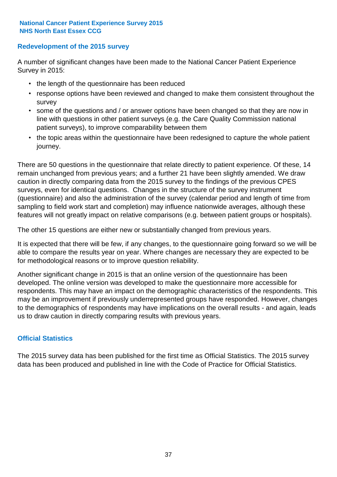### **Redevelopment of the 2015 survey**

A number of significant changes have been made to the National Cancer Patient Experience Survey in 2015:

- the length of the questionnaire has been reduced
- response options have been reviewed and changed to make them consistent throughout the survey
- some of the questions and / or answer options have been changed so that they are now in line with questions in other patient surveys (e.g. the Care Quality Commission national patient surveys), to improve comparability between them
- the topic areas within the questionnaire have been redesigned to capture the whole patient journey.

There are 50 questions in the questionnaire that relate directly to patient experience. Of these, 14 remain unchanged from previous years; and a further 21 have been slightly amended. We draw caution in directly comparing data from the 2015 survey to the findings of the previous CPES surveys, even for identical questions. Changes in the structure of the survey instrument (questionnaire) and also the administration of the survey (calendar period and length of time from sampling to field work start and completion) may influence nationwide averages, although these features will not greatly impact on relative comparisons (e.g. between patient groups or hospitals).

The other 15 questions are either new or substantially changed from previous years.

It is expected that there will be few, if any changes, to the questionnaire going forward so we will be able to compare the results year on year. Where changes are necessary they are expected to be for methodological reasons or to improve question reliability.

Another significant change in 2015 is that an online version of the questionnaire has been developed. The online version was developed to make the questionnaire more accessible for respondents. This may have an impact on the demographic characteristics of the respondents. This may be an improvement if previously underrepresented groups have responded. However, changes to the demographics of respondents may have implications on the overall results - and again, leads us to draw caution in directly comparing results with previous years.

### **Official Statistics**

The 2015 survey data has been published for the first time as Official Statistics. The 2015 survey data has been produced and published in line with the Code of Practice for Official Statistics.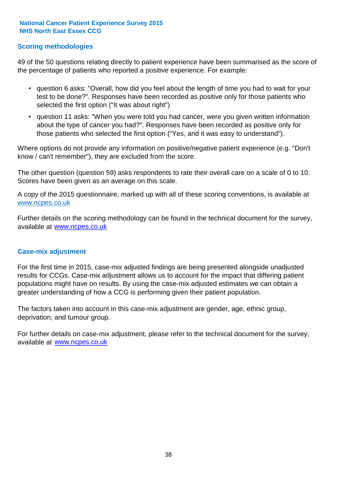### **Scoring methodologies**

49 of the 50 questions relating directly to patient experience have been summarised as the score of the percentage of patients who reported a positive experience. For example:

- question 6 asks: "Overall, how did you feel about the length of time you had to wait for your test to be done?". Responses have been recorded as positive only for those patients who selected the first option ("It was about right")
- question 11 asks: "When you were told you had cancer, were you given written information about the type of cancer you had?". Responses have been recorded as positive only for those patients who selected the first option ("Yes, and it was easy to understand").

Where options do not provide any information on positive/negative patient experience (e.g. "Don't know / can't remember"), they are excluded from the score.

The other question (question 59) asks respondents to rate their overall care on a scale of 0 to 10. Scores have been given as an average on this scale.

A copy of the 2015 questionnaire, marked up with all of these scoring conventions, is available at www.ncpes.co.uk

Further details on the scoring methodology can be found in the technical document for the survey, available at <u>www.ncpes.co.uk</u>

#### **Case-mix adjustment**

For the first time in 2015, case-mix adjusted findings are being presented alongside unadjusted results for CCGs. Case-mix adjustment allows us to account for the impact that differing patient populations might have on results. By using the case-mix adjusted estimates we can obtain a greater understanding of how a CCG is performing given their patient population.

The factors taken into account in this case-mix adjustment are gender, age, ethnic group, deprivation, and tumour group.

For further details on case-mix adjustment, please refer to the technical document for the survey, available at www.ncpes.co.uk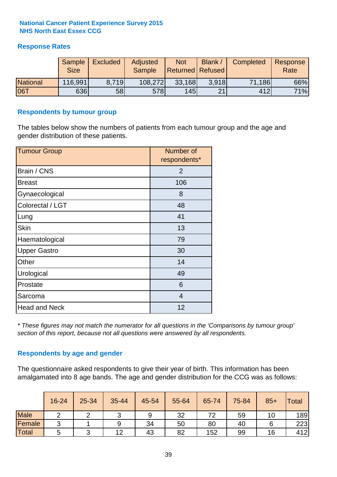### **Response Rates**

|                 | Sample<br><b>Size</b> | <b>Excluded</b> | Adjusted<br><b>Sample</b> | <b>Not</b><br>Returned Refused | Blank / | Completed | Response<br>Rate |
|-----------------|-----------------------|-----------------|---------------------------|--------------------------------|---------|-----------|------------------|
| <b>National</b> | 116,991               | 8.719           | 108,272                   | 33,168                         | 3.918   | 71,186    | 66%              |
| <b>06T</b>      | 636                   | 58l             | 578                       | 145                            | 21      | 412       | 71%              |

#### **Respondents by tumour group**

The tables below show the numbers of patients from each tumour group and the age and gender distribution of these patients.

| <b>Tumour Group</b>  | Number of<br>respondents* |
|----------------------|---------------------------|
| Brain / CNS          | $\overline{2}$            |
| <b>Breast</b>        | 106                       |
| Gynaecological       | 8                         |
| Colorectal / LGT     | 48                        |
| Lung                 | 41                        |
| <b>Skin</b>          | 13                        |
| Haematological       | 79                        |
| <b>Upper Gastro</b>  | 30                        |
| Other                | 14                        |
| Urological           | 49                        |
| Prostate             | 6                         |
| Sarcoma              | $\overline{4}$            |
| <b>Head and Neck</b> | 12                        |

*\* These figures may not match the numerator for all questions in the 'Comparisons by tumour group' section of this report, because not all questions were answered by all respondents.*

### **Respondents by age and gender**

The questionnaire asked respondents to give their year of birth. This information has been amalgamated into 8 age bands. The age and gender distribution for the CCG was as follows:

|             | 16-24 | 25-34 | 35-44 | 45-54 | 55-64 | 65-74 | 75-84 | $85+$ | <b>Total</b> |
|-------------|-------|-------|-------|-------|-------|-------|-------|-------|--------------|
| <b>Male</b> |       |       |       | 9     | 32    | 72    | 59    | 10    | 189          |
| Female      | ◠     |       | 9     | 34    | 50    | 80    | 40    |       | 223          |
| Total       |       |       | 12    | 43    | 82    | 152   | 99    | 16    | 412          |